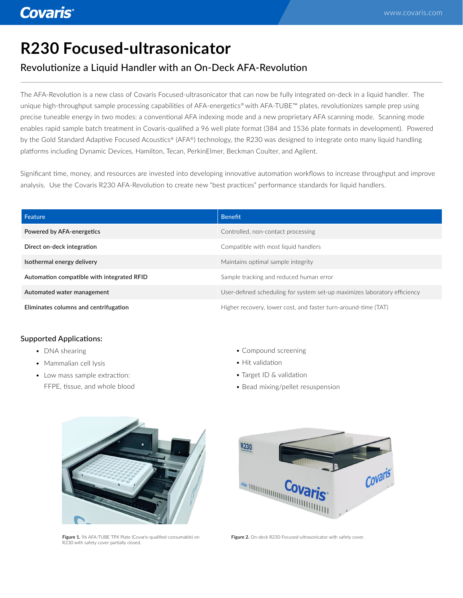# **R230 Focused-ultrasonicator**

## Revolutionize a Liquid Handler with an On-Deck AFA-Revolution

The AFA-Revolution is a new class of Covaris Focused-ultrasonicator that can now be fully integrated on-deck in a liquid handler. The unique high-throughput sample processing capabilities of AFA-energetics® with AFA-TUBE™ plates, revolutionizes sample prep using precise tuneable energy in two modes: a conventional AFA indexing mode and a new proprietary AFA scanning mode. Scanning mode enables rapid sample batch treatment in Covaris-qualified a 96 well plate format (384 and 1536 plate formats in development). Powered by the Gold Standard Adaptive Focused Acoustics® (AFA®) technology, the R230 was designed to integrate onto many liquid handling platforms including Dynamic Devices, Hamilton, Tecan, PerkinElmer, Beckman Coulter, and Agilent.

Significant time, money, and resources are invested into developing innovative automation workflows to increase throughput and improve analysis. Use the Covaris R230 AFA-Revolution to create new "best practices" performance standards for liquid handlers.

| Feature                                    | <b>Benefit</b>                                                            |
|--------------------------------------------|---------------------------------------------------------------------------|
| Powered by AFA-energetics                  | Controlled, non-contact processing                                        |
| Direct on-deck integration                 | Compatible with most liquid handlers                                      |
| Isothermal energy delivery                 | Maintains optimal sample integrity                                        |
| Automation compatible with integrated RFID | Sample tracking and reduced human error                                   |
| Automated water management                 | User-defined scheduling for system set-up maximizes laboratory efficiency |
| Eliminates columns and centrifugation      | Higher recovery, lower cost, and faster turn-around-time (TAT)            |

### Supported Applications:

- DNA shearing
- Mammalian cell lysis
- Low mass sample extraction: FFPE, tissue, and whole blood
- Compound screening
- Hit validation
- Target ID & validation
- Bead mixing/pellet resuspension



**Figure 1.** 96 AFA-TUBE TPX Plate (Covaris-qualified consumable) on<br>R230 with safety cover partially closed.



**Figure 2.** On-deck R230 Focused-ultrasonicator with safety cover.